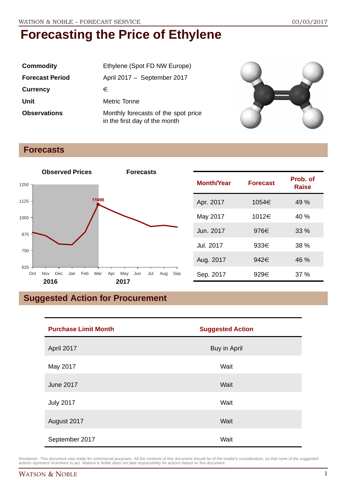| <b>Commodity</b>       | Ethylene (Spot FD NW Europe)                                         |
|------------------------|----------------------------------------------------------------------|
| <b>Forecast Period</b> | April 2017 - September 2017                                          |
| <b>Currency</b>        | €                                                                    |
| Unit                   | Metric Tonne                                                         |
| <b>Observations</b>    | Monthly forecasts of the spot price<br>in the first day of the month |



### **Forecasts**



| <b>Month/Year</b> | <b>Forecast</b> | Prob. of<br>Raise |
|-------------------|-----------------|-------------------|
| Apr. 2017         | 1054€           | 49 %              |
| May 2017          | 1012€           | 40 %              |
| Jun. 2017         | 976€            | 33%               |
| Jul. 2017         | $933 \in$       | 38 %              |
| Aug. 2017         | 942€            | 46 %              |
| Sep. 2017         | 929€            | 37 %              |

# **Suggested Action for Procurement**

| <b>Purchase Limit Month</b> | <b>Suggested Action</b> |
|-----------------------------|-------------------------|
| April 2017                  | Buy in April            |
| May 2017                    | Wait                    |
| <b>June 2017</b>            | Wait                    |
| <b>July 2017</b>            | Wait                    |
| August 2017                 | Wait                    |
| September 2017              | Wait                    |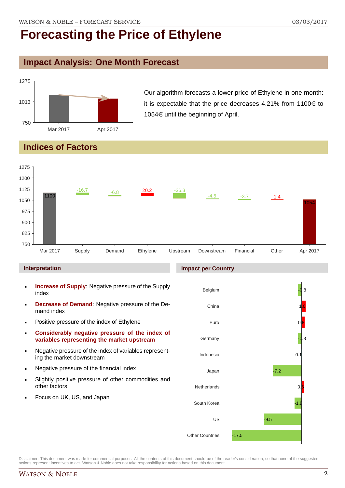### **Impact Analysis: One Month Forecast**



Our algorithm forecasts a lower price of Ethylene in one month: it is expectable that the price decreases 4.21% from  $1100 \in$  to 1054 $\in$  until the beginning of April.

## **Indices of Factors**



### **Interpretation**

- **Increase of Supply**: Negative pressure of the Supply index
- **Decrease of Demand**: Negative pressure of the Demand index
- **Positive pressure of the index of Ethylene**
- **Considerably negative pressure of the index of variables representing the market upstream**
- Negative pressure of the index of variables representing the market downstream
- **Negative pressure of the financial index**
- Slightly positive pressure of other commodities and other factors
- Focus on UK, US, and Japan

### **Impact per Country**

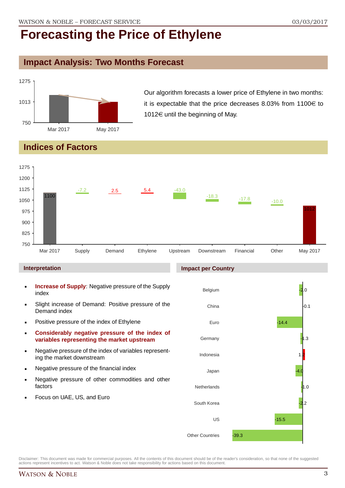### **Impact Analysis: Two Months Forecast**



Our algorithm forecasts a lower price of Ethylene in two months: it is expectable that the price decreases 8.03% from  $1100 \in$  to 1012 $\in$  until the beginning of May.

## **Indices of Factors**



### **Interpretation**

- **Increase of Supply**: Negative pressure of the Supply index
- Slight increase of Demand: Positive pressure of the Demand index
- **Positive pressure of the index of Ethylene**
- **Considerably negative pressure of the index of variables representing the market upstream**
- Negative pressure of the index of variables representing the market downstream
- **Negative pressure of the financial index**
- **Negative pressure of other commodities and other** factors
- Focus on UAE, US, and Euro

### **Impact per Country**

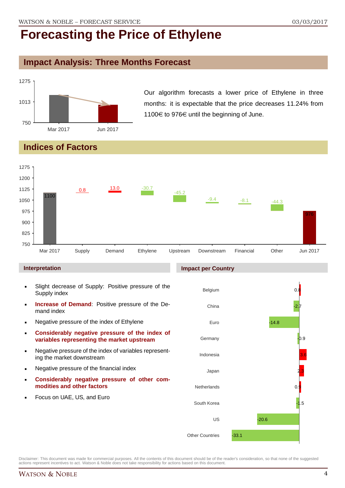### **Impact Analysis: Three Months Forecast**



Our algorithm forecasts a lower price of Ethylene in three months: it is expectable that the price decreases 11.24% from 1100 $\in$  to 976 $\in$  until the beginning of June.

## **Indices of Factors**



### **Interpretation**

- Slight decrease of Supply: Positive pressure of the Supply index
- **Increase of Demand**: Positive pressure of the Demand index
- Negative pressure of the index of Ethylene
- **Considerably negative pressure of the index of variables representing the market upstream**
- Negative pressure of the index of variables representing the market downstream
- **Negative pressure of the financial index**
- **Considerably negative pressure of other commodities and other factors**
- Focus on UAE, US, and Euro

### **Impact per Country**

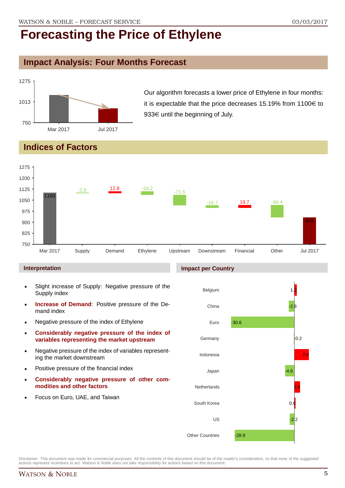# **Impact Analysis: Four Months Forecast**



Our algorithm forecasts a lower price of Ethylene in four months: it is expectable that the price decreases 15.19% from 1100 $\in$  to  $933 \in$  until the beginning of July.

## **Indices of Factors**



### **Interpretation**

- Slight increase of Supply: Negative pressure of the Supply index
- **Increase of Demand**: Positive pressure of the Demand index
- Negative pressure of the index of Ethylene
- **Considerably negative pressure of the index of variables representing the market upstream**
- Negative pressure of the index of variables representing the market downstream
- **•** Positive pressure of the financial index
- **Considerably negative pressure of other commodities and other factors**
- Focus on Euro, UAE, and Taiwan

# Belgium

**Impact per Country**

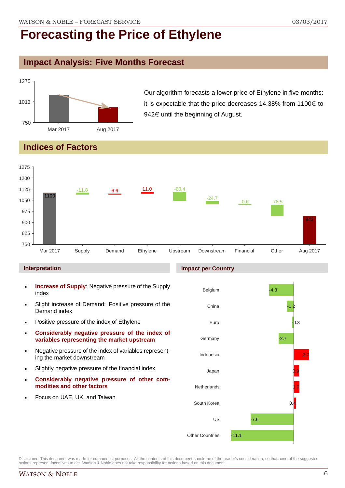### **Impact Analysis: Five Months Forecast**



Our algorithm forecasts a lower price of Ethylene in five months: it is expectable that the price decreases 14.38% from  $1100 \in$  to  $942 \in$  until the beginning of August.

## **Indices of Factors**



### **Interpretation**

- **Increase of Supply**: Negative pressure of the Supply index
- Slight increase of Demand: Positive pressure of the Demand index
- **Positive pressure of the index of Ethylene**
- **Considerably negative pressure of the index of variables representing the market upstream**
- Negative pressure of the index of variables representing the market downstream
- Slightly negative pressure of the financial index
- **Considerably negative pressure of other commodities and other factors**
- Focus on UAE, UK, and Taiwan

## **Impact per Country**

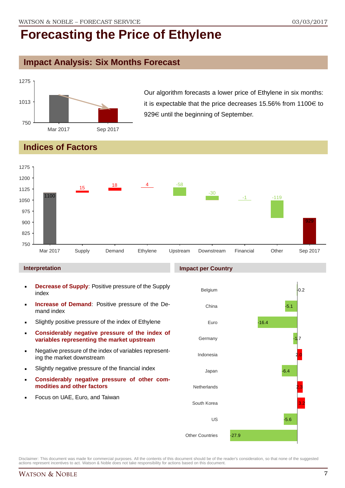## **Impact Analysis: Six Months Forecast**



Our algorithm forecasts a lower price of Ethylene in six months: it is expectable that the price decreases 15.56% from  $1100 \in$  to  $929 \in$  until the beginning of September.

### **Indices of Factors**



### **Interpretation**

- **Decrease of Supply**: Positive pressure of the Supply index
- **Increase of Demand**: Positive pressure of the Demand index
- **Slightly positive pressure of the index of Ethylene**
- **Considerably negative pressure of the index of variables representing the market upstream**
- Negative pressure of the index of variables representing the market downstream
- Slightly negative pressure of the financial index
- **Considerably negative pressure of other commodities and other factors**
- Focus on UAE, Euro, and Taiwan

### **Impact per Country**

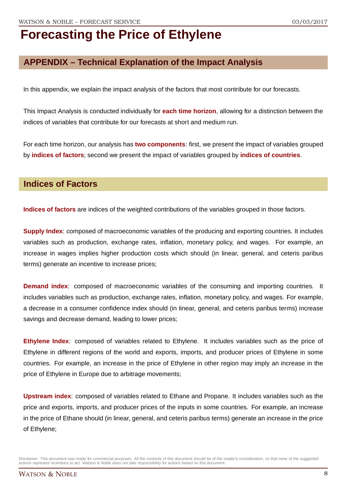## **APPENDIX – Technical Explanation of the Impact Analysis**

In this appendix, we explain the impact analysis of the factors that most contribute for our forecasts.

This Impact Analysis is conducted individually for **each time horizon**, allowing for a distinction between the indices of variables that contribute for our forecasts at short and medium run.

For each time horizon, our analysis has **two components**: first, we present the impact of variables grouped by **indices of factors**; second we present the impact of variables grouped by **indices of countries**.

### **Indices of Factors**

**Indices of factors** are indices of the weighted contributions of the variables grouped in those factors.

**Supply Index:** composed of macroeconomic variables of the producing and exporting countries. It includes variables such as production, exchange rates, inflation, monetary policy, and wages. For example, an increase in wages implies higher production costs which should (in linear, general, and ceteris paribus terms) generate an incentive to increase prices;

**Demand index**: composed of macroeconomic variables of the consuming and importing countries. It includes variables such as production, exchange rates, inflation, monetary policy, and wages. For example, a decrease in a consumer confidence index should (in linear, general, and ceteris paribus terms) increase savings and decrease demand, leading to lower prices;

**Ethylene Index**: composed of variables related to Ethylene. It includes variables such as the price of Ethylene in different regions of the world and exports, imports, and producer prices of Ethylene in some countries. For example, an increase in the price of Ethylene in other region may imply an increase in the price of Ethylene in Europe due to arbitrage movements;

**Upstream index**: composed of variables related to Ethane and Propane. It includes variables such as the price and exports, imports, and producer prices of the inputs in some countries. For example, an increase in the price of Ethane should (in linear, general, and ceteris paribus terms) generate an increase in the price of Ethylene;